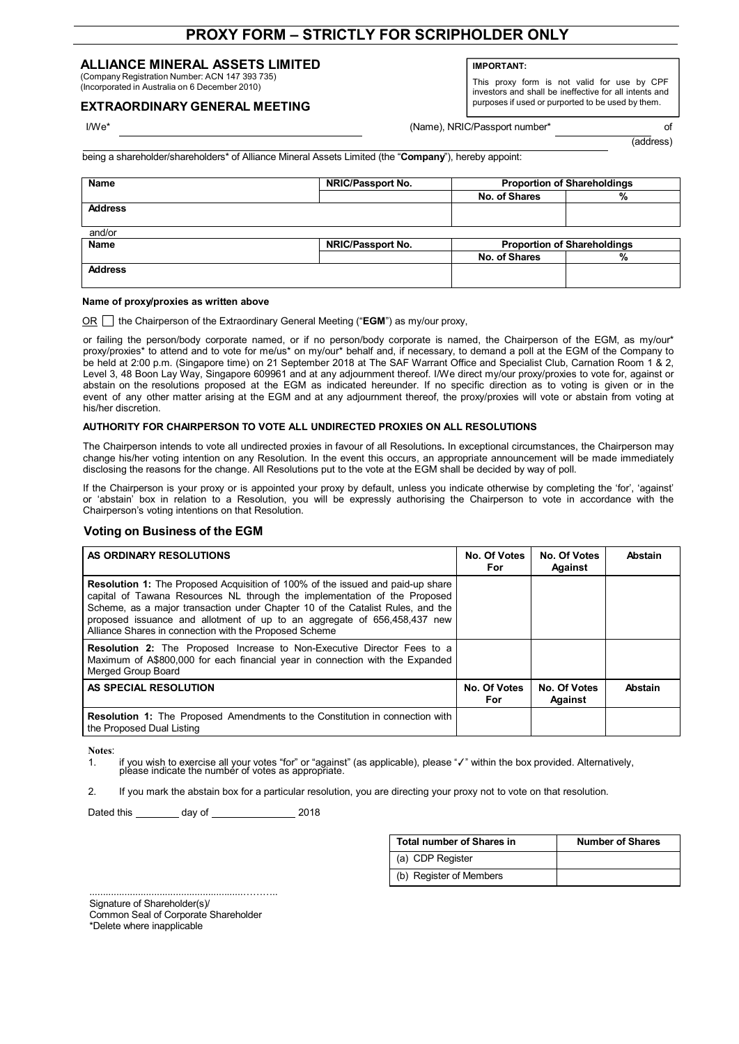# **PROXY FORM – STRICTLY FOR SCRIPHOLDER ONLY**

## **ALLIANCE MINERAL ASSETS LIMITED**

(Company Registration Number: ACN 147 393 735) (Incorporated in Australia on 6 December 2010)

## **EXTRAORDINARY GENERAL MEETING**

**IMPORTANT:**

This proxy form is not valid for use by CPF investors and shall be ineffective for all intents and purposes if used or purported to be used by them.

I/We\* **I/We\*** Changes and Changes and Changes and Changes and Changes and Changes and Changes and Changes and Changes and Changes and Changes and Changes and Changes and Changes and Changes and Changes and Changes and Chan

(address)

being a shareholder/shareholders\* of Alliance Mineral Assets Limited (the "**Company**"), hereby appoint:

| Name           | <b>NRIC/Passport No.</b> | <b>Proportion of Shareholdings</b> |   |
|----------------|--------------------------|------------------------------------|---|
|                |                          | No. of Shares                      | % |
| <b>Address</b> |                          |                                    |   |
|                |                          |                                    |   |
| and/or         |                          |                                    |   |
| <b>Name</b>    | <b>NRIC/Passport No.</b> | <b>Proportion of Shareholdings</b> |   |
|                |                          | No. of Shares                      | % |
| <b>Address</b> |                          |                                    |   |
|                |                          |                                    |   |

#### **Name of proxy/proxies as written above**

OR the Chairperson of the Extraordinary General Meeting ("**EGM**") as my/our proxy,

or failing the person/body corporate named, or if no person/body corporate is named, the Chairperson of the EGM, as my/our\* proxy/proxies\* to attend and to vote for me/us\* on my/our\* behalf and, if necessary, to demand a poll at the EGM of the Company to be held at 2:00 p.m. (Singapore time) on 21 September 2018 at The SAF Warrant Office and Specialist Club, Carnation Room 1 & 2, Level 3, 48 Boon Lay Way, Singapore 609961 and at any adjournment thereof. I/We direct my/our proxy/proxies to vote for, against or abstain on the resolutions proposed at the EGM as indicated hereunder. If no specific direction as to voting is given or in the event of any other matter arising at the EGM and at any adjournment thereof, the proxy/proxies will vote or abstain from voting at his/her discretion.

#### **AUTHORITY FOR CHAIRPERSON TO VOTE ALL UNDIRECTED PROXIES ON ALL RESOLUTIONS**

The Chairperson intends to vote all undirected proxies in favour of all Resolutions**.** In exceptional circumstances, the Chairperson may change his/her voting intention on any Resolution. In the event this occurs, an appropriate announcement will be made immediately disclosing the reasons for the change. All Resolutions put to the vote at the EGM shall be decided by way of poll.

If the Chairperson is your proxy or is appointed your proxy by default, unless you indicate otherwise by completing the 'for', 'against' or 'abstain' box in relation to a Resolution, you will be expressly authorising the Chairperson to vote in accordance with the Chairperson's voting intentions on that Resolution.

## **Voting on Business of the EGM**

| AS ORDINARY RESOLUTIONS                                                                                                                                                                                                                                                                                                                                                                    | No. Of Votes<br>For | No. Of Votes<br>Against | Abstain |
|--------------------------------------------------------------------------------------------------------------------------------------------------------------------------------------------------------------------------------------------------------------------------------------------------------------------------------------------------------------------------------------------|---------------------|-------------------------|---------|
| <b>Resolution 1:</b> The Proposed Acquisition of 100% of the issued and paid-up share<br>capital of Tawana Resources NL through the implementation of the Proposed<br>Scheme, as a major transaction under Chapter 10 of the Catalist Rules, and the<br>proposed issuance and allotment of up to an aggregate of 656,458,437 new<br>Alliance Shares in connection with the Proposed Scheme |                     |                         |         |
| <b>Resolution 2:</b> The Proposed Increase to Non-Executive Director Fees to a<br>Maximum of A\$800,000 for each financial year in connection with the Expanded<br>Merged Group Board                                                                                                                                                                                                      |                     |                         |         |
| AS SPECIAL RESOLUTION                                                                                                                                                                                                                                                                                                                                                                      | No. Of Votes<br>For | No. Of Votes<br>Against | Abstain |
| <b>Resolution 1:</b> The Proposed Amendments to the Constitution in connection with<br>the Proposed Dual Listing                                                                                                                                                                                                                                                                           |                     |                         |         |

**Notes**:

1. if you wish to exercise all your votes "for" or "against" (as applicable), please "✓" within the box provided. Alternatively,<br>please indicate the number of votes as appropriate.

2. If you mark the abstain box for a particular resolution, you are directing your proxy not to vote on that resolution.

Dated this \_\_\_\_\_\_\_\_\_ day of \_\_\_\_\_\_\_\_\_\_\_\_\_\_\_\_\_\_ 2018

| Total number of Shares in | <b>Number of Shares</b> |  |
|---------------------------|-------------------------|--|
| (a) CDP Register          |                         |  |
| (b) Register of Members   |                         |  |

.........................................................……….. Signature of Shareholder(s)/

Common Seal of Corporate Shareholder

\*Delete where inapplicable